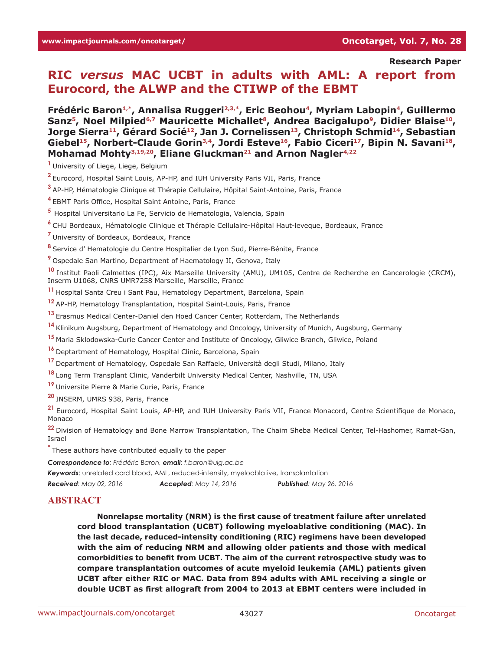#### **Research Paper**

# **RIC** *versus* **MAC UCBT in adults with AML: A report from Eurocord, the ALWP and the CTIWP of the EBMT**

Frédéric Baron<sup>1,\*</sup>, Annalisa Ruggeri<sup>2,3,\*</sup>, Eric Beohou<sup>4</sup>, Myriam Labopin<sup>4</sup>, Guillermo Sanz<sup>5</sup>, Noel Milpied<sup>6,7</sup> Mauricette Michallet<sup>8</sup>, Andrea Bacigalupo<sup>9</sup>, Didier Blaise<sup>10</sup>, Jorge Sierra<sup>11</sup>, Gérard Socié<sup>12</sup>, Jan J. Cornelissen<sup>13</sup>, Christoph Schmid<sup>14</sup>, Sebastian Giebel<sup>15</sup>, Norbert-Claude Gorin<sup>3,4</sup>, Jordi Esteve<sup>16</sup>, Fabio Ciceri<sup>17</sup>, Bipin N. Savani<sup>18</sup>, Mohamad Mohty<sup>3,19,20</sup>, Eliane Gluckman<sup>21</sup> and Arnon Nagler<sup>4,22</sup>

**<sup>1</sup>**University of Liege, Liege, Belgium

**<sup>2</sup>**Eurocord, Hospital Saint Louis, AP-HP, and IUH University Paris VII, Paris, France

**<sup>3</sup>**AP-HP, Hématologie Clinique et Thérapie Cellulaire, Hôpital Saint-Antoine, Paris, France

**<sup>4</sup>**EBMT Paris Office, Hospital Saint Antoine, Paris, France

**<sup>5</sup>**Hospital Universitario La Fe, Servicio de Hematologia, Valencia, Spain

**<sup>6</sup>**CHU Bordeaux, Hématologie Clinique et Thérapie Cellulaire-Hôpital Haut-leveque, Bordeaux, France

**<sup>7</sup>**University of Bordeaux, Bordeaux, France

**<sup>8</sup>**Service d' Hematologie du Centre Hospitalier de Lyon Sud, Pierre-Bénite, France

**<sup>9</sup>**Ospedale San Martino, Department of Haematology II, Genova, Italy

**<sup>10</sup>**Institut Paoli Calmettes (IPC), Aix Marseille University (AMU), UM105, Centre de Recherche en Cancerologie (CRCM), Inserm U1068, CNRS UMR7258 Marseille, Marseille, France

**<sup>11</sup>**Hospital Santa Creu i Sant Pau, Hematology Department, Barcelona, Spain

**<sup>12</sup>**AP-HP, Hematology Transplantation, Hospital Saint-Louis, Paris, France

**<sup>13</sup>**Erasmus Medical Center-Daniel den Hoed Cancer Center, Rotterdam, The Netherlands

**<sup>14</sup>**Klinikum Augsburg, Department of Hematology and Oncology, University of Munich, Augsburg, Germany

**<sup>15</sup>**Maria Sklodowska-Curie Cancer Center and Institute of Oncology, Gliwice Branch, Gliwice, Poland

16 Deptartment of Hematology, Hospital Clinic, Barcelona, Spain

**<sup>17</sup>**Department of Hematology, Ospedale San Raffaele, Università degli Studi, Milano, Italy

**<sup>18</sup>**Long Term Transplant Clinic, Vanderbilt University Medical Center, Nashville, TN, USA

**<sup>19</sup>**Universite Pierre & Marie Curie, Paris, France

**<sup>20</sup>**INSERM, UMRS 938, Paris, France

**<sup>21</sup>**Eurocord, Hospital Saint Louis, AP-HP, and IUH University Paris VII, France Monacord, Centre Scientifique de Monaco, Monaco

**<sup>22</sup>**Division of Hematology and Bone Marrow Transplantation, The Chaim Sheba Medical Center, Tel-Hashomer, Ramat-Gan, Israel

**\*** These authors have contributed equally to the paper

*Correspondence to: Frédéric Baron, email: f.baron@ulg.ac.be*

*Keywords*: unrelated cord blood, AML, reduced-intensity, myeloablative, transplantation

*Received: May 02, 2016 Accepted: May 14, 2016 Published: May 26, 2016*

## **ABSTRACT**

**Nonrelapse mortality (NRM) is the first cause of treatment failure after unrelated cord blood transplantation (UCBT) following myeloablative conditioning (MAC). In the last decade, reduced-intensity conditioning (RIC) regimens have been developed with the aim of reducing NRM and allowing older patients and those with medical comorbidities to benefit from UCBT. The aim of the current retrospective study was to compare transplantation outcomes of acute myeloid leukemia (AML) patients given UCBT after either RIC or MAC. Data from 894 adults with AML receiving a single or double UCBT as first allograft from 2004 to 2013 at EBMT centers were included in**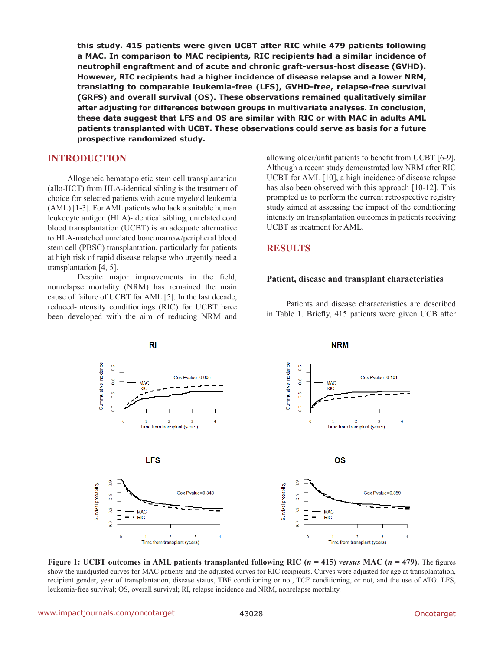**this study. 415 patients were given UCBT after RIC while 479 patients following a MAC. In comparison to MAC recipients, RIC recipients had a similar incidence of neutrophil engraftment and of acute and chronic graft-versus-host disease (GVHD). However, RIC recipients had a higher incidence of disease relapse and a lower NRM, translating to comparable leukemia-free (LFS), GVHD-free, relapse-free survival (GRFS) and overall survival (OS). These observations remained qualitatively similar after adjusting for differences between groups in multivariate analyses. In conclusion, these data suggest that LFS and OS are similar with RIC or with MAC in adults AML patients transplanted with UCBT. These observations could serve as basis for a future prospective randomized study.**

## **INTRODUCTION**

Allogeneic hematopoietic stem cell transplantation (allo-HCT) from HLA-identical sibling is the treatment of choice for selected patients with acute myeloid leukemia (AML) [1-3]. For AML patients who lack a suitable human leukocyte antigen (HLA)-identical sibling, unrelated cord blood transplantation (UCBT) is an adequate alternative to HLA-matched unrelated bone marrow/peripheral blood stem cell (PBSC) transplantation, particularly for patients at high risk of rapid disease relapse who urgently need a transplantation [4, 5].

Despite major improvements in the field, nonrelapse mortality (NRM) has remained the main cause of failure of UCBT for AML [5]. In the last decade, reduced-intensity conditionings (RIC) for UCBT have been developed with the aim of reducing NRM and allowing older/unfit patients to benefit from UCBT [6-9]. Although a recent study demonstrated low NRM after RIC UCBT for AML [10], a high incidence of disease relapse has also been observed with this approach [10-12]. This prompted us to perform the current retrospective registry study aimed at assessing the impact of the conditioning intensity on transplantation outcomes in patients receiving UCBT as treatment for AML.

## **RESULTS**

#### **Patient, disease and transplant characteristics**

Patients and disease characteristics are described in Table 1. Briefly, 415 patients were given UCB after



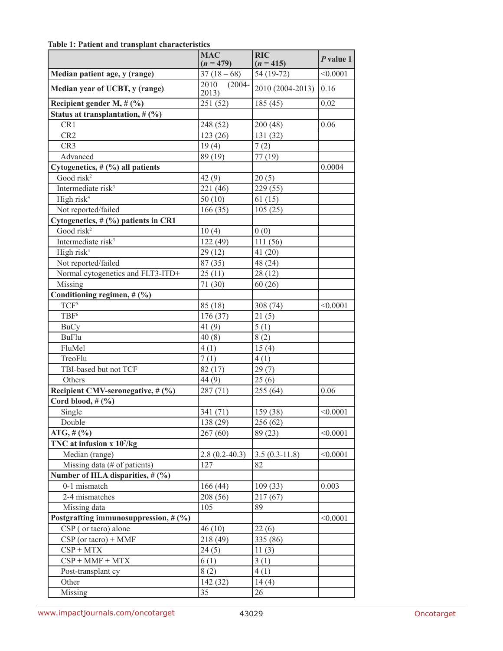**Table 1: Patient and transplant characteristics**

|                                         | <b>MAC</b><br>$(n = 479)$ | <b>RIC</b><br>$(n = 415)$ | $P$ value 1 |
|-----------------------------------------|---------------------------|---------------------------|-------------|
| Median patient age, y (range)           | $37(18-68)$               | 54 (19-72)                | < 0.0001    |
|                                         | 2010<br>$(2004 -$         |                           |             |
| Median year of UCBT, y (range)          | 2013)                     | 2010 (2004-2013)          | 0.16        |
| Recipient gender M, $# (%)$             | 251 (52)                  | 185 (45)                  | 0.02        |
| Status at transplantation, $# (%)$      |                           |                           |             |
| CR1                                     | 248 (52)                  | 200(48)                   | 0.06        |
| CR <sub>2</sub>                         | 123(26)                   | 131 (32)                  |             |
| CR3                                     | 19(4)                     | 7(2)                      |             |
| Advanced                                | 89 (19)                   | 77 (19)                   |             |
| Cytogenetics, # (%) all patients        |                           |                           | 0.0004      |
| Good risk <sup>2</sup>                  | 42(9)                     | 20(5)                     |             |
| Intermediate risk <sup>3</sup>          | 221 (46)                  | 229(55)                   |             |
| High risk <sup>4</sup>                  | 50(10)                    | 61(15)                    |             |
| Not reported/failed                     | 166(35)                   | 105(25)                   |             |
| Cytogenetics, # (%) patients in CR1     |                           |                           |             |
| Good risk <sup>2</sup>                  | 10(4)                     | 0(0)                      |             |
| Intermediate risk <sup>3</sup>          | 122(49)                   | 111 (56)                  |             |
| High risk <sup>4</sup>                  | 29(12)                    | 41(20)                    |             |
| Not reported/failed                     | 87 (35)                   | 48 (24)                   |             |
| Normal cytogenetics and FLT3-ITD+       | 25(11)                    | 28(12)                    |             |
| Missing                                 | 71(30)                    | 60(26)                    |             |
| Conditioning regimen, $\#$ (%)          |                           |                           |             |
| TCF <sup>5</sup>                        | 85 (18)                   | 308 (74)                  | < 0.0001    |
| TBF <sup>6</sup>                        | 176 (37)                  | 21(5)                     |             |
| <b>BuCy</b>                             | 41 $(9)$                  | 5(1)                      |             |
| <b>BuFlu</b>                            | 40(8)                     | 8(2)                      |             |
| FluMel                                  | 4(1)                      | 15(4)                     |             |
| TreoFlu                                 | 7(1)                      | 4(1)                      |             |
| TBI-based but not TCF                   | 82 (17)                   | 29(7)                     |             |
| Others                                  | 44(9)                     | 25(6)                     |             |
| Recipient CMV-seronegative, # (%)       | 287(71)                   | 255 (64)                  | 0.06        |
| Cord blood, $# (%)$                     |                           |                           |             |
| Single                                  | 341 (71)                  | 159 (38)                  | < 0.0001    |
| Double                                  | 138 (29)                  | 256 (62)                  |             |
| $ATG, \# (%)$                           | 267(60)                   | 89 (23)                   | < 0.0001    |
| TNC at infusion x 107/kg                |                           |                           |             |
| Median (range)                          | $2.8(0.2-40.3)$           | $3.5(0.3-11.8)$           | < 0.0001    |
| Missing data (# of patients)            | 127                       | 82                        |             |
| Number of HLA disparities, # (%)        |                           |                           |             |
| $0-1$ mismatch                          | 166(44)                   | 109(33)                   | 0.003       |
| 2-4 mismatches                          | 208 (56)                  | 217(67)                   |             |
| Missing data                            | 105                       | 89                        |             |
| Postgrafting immunosuppression, $#$ (%) |                           |                           | < 0.0001    |
| CSP (or tacro) alone                    | 46(10)                    | 22(6)                     |             |
| $CSP (or tacc) + MMF$                   | 218 (49)                  | 335 (86)                  |             |
| $CSP + MTX$                             | 24(5)                     | 11(3)                     |             |
| $CSP + MMF + MTX$                       | 6(1)                      | 3(1)                      |             |
| Post-transplant cy                      | 8(2)                      | 4(1)                      |             |
| Other                                   | 142 (32)                  | 14(4)                     |             |
| Missing                                 | 35                        | 26                        |             |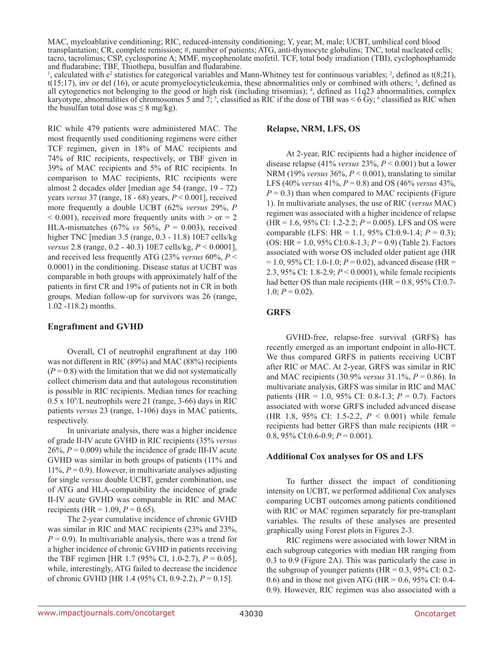MAC, myeloablative conditioning; RIC, reduced-intensity conditioning; Y, year; M, male; UCBT, umbilical cord blood transplantation; CR, complete remission; #, number of patients; ATG, anti-thymocyte globulins; TNC, total nucleated cells; tacro, tacrolimus; CSP, cyclosporine A; MMF, mycophenolate mofetil. TCF, total body irradiation (TBI), cyclophosphamide and fludarabine; TBF, Thiothepa, busulfan and fludarabine.

<sup>1</sup>, calculated with  $c^2$  statistics for categorical variables and Mann-Whitney test for continuous variables; <sup>2</sup>, defined as t(8;21),  $t(15;17)$ , inv or del  $(16)$ , or acute promyelocyticleukemia, these abnormalities only or combined with others;  $\frac{3}{2}$ , defined as all cytogenetics not belonging to the good or high risk (including trisomias); 4 , defined as 11q23 abnormalities, complex karyotype, abnormalities of chromosomes 5 and 7;  $\frac{5}{5}$ , classified as RIC if the dose of TBI was  $\leq 6$  Gy;  $\frac{6}{5}$  classified as RIC when the busulfan total dose was  $\leq 8$  mg/kg).

RIC while 479 patients were administered MAC. The most frequently used conditioning regimens were either TCF regimen, given in 18% of MAC recipients and 74% of RIC recipients, respectively, or TBF given in 39% of MAC recipients and 5% of RIC recipients. In comparison to MAC recipients, RIC recipients were almost 2 decades older [median age 54 (range, 19 - 72) years *versus* 37 (range, 18 - 68) years, *P* < 0.001], received more frequently a double UCBT (62% *versus* 29%, *P*  $0.001$ , received more frequently units with  $>$  or  $=$  2 HLA-mismatches (67% *vs* 56%, *P* = 0.003), received higher TNC [median 3.5 (range, 0.3 - 11.8) 10E7 cells/kg *versus* 2.8 (range, 0.2 - 40.3) 10E7 cells/kg, *P* < 0.0001], and received less frequently ATG (23% *versus* 60%, *P* < 0.0001) in the conditioning. Disease status at UCBT was comparable in both groups with approximately half of the patients in first CR and 19% of patients not in CR in both groups. Median follow-up for survivors was 26 (range, 1.02 -118.2) months.

#### **Engraftment and GVHD**

Overall, CI of neutrophil engraftment at day 100 was not different in RIC (89%) and MAC (88%) recipients  $(P = 0.8)$  with the limitation that we did not systematically collect chimerism data and that autologous reconstitution is possible in RIC recipients. Median times for reaching 0.5 x 10<sup>9</sup> /L neutrophils were 21 (range, 3-66) days in RIC patients *versus* 23 (range, 1-106) days in MAC patients, respectively.

In univariate analysis, there was a higher incidence of grade II-IV acute GVHD in RIC recipients (35% *versus* 26%, *P* = 0.009) while the incidence of grade III-IV acute GVHD was similar in both groups of patients (11% and 11%,  $P = 0.9$ ). However, in multivariate analyses adjusting for single *versus* double UCBT, gender combination, use of ATG and HLA-compatibility the incidence of grade II-IV acute GVHD was comparable in RIC and MAC recipients (HR =  $1.09, P = 0.65$ ).

The 2-year cumulative incidence of chronic GVHD was similar in RIC and MAC recipients (23% and 23%,  $P = 0.9$ ). In multivariable analysis, there was a trend for a higher incidence of chronic GVHD in patients receiving the TBF regimen [HR 1.7 (95% CI, 1.0-2.7), *P* = 0.05], while, interestingly, ATG failed to decrease the incidence of chronic GVHD [HR 1.4 (95% CI, 0.9-2.2), *P* = 0.15].

#### **Relapse, NRM, LFS, OS**

At 2-year, RIC recipients had a higher incidence of disease relapse (41% *versus* 23%, *P* < 0.001) but a lower NRM (19% *versus* 36%, *P* < 0.001), translating to similar LFS (40% *versus* 41%, *P* = 0.8) and OS (46% *versus* 43%,  $P = 0.3$ ) than when compared to MAC recipients (Figure 1). In multivariate analyses, the use of RIC (*versus* MAC) regimen was associated with a higher incidence of relapse (HR = 1.6, 95% CI: 1.2-2.2; *P* = 0.005). LFS and OS were comparable (LFS: HR = 1.1, 95% CI:0.9-1.4; *P* = 0.3); (OS: HR = 1.0, 95% CI:0.8-1.3; *P* = 0.9) (Table 2). Factors associated with worse OS included older patient age (HR  $= 1.0$ , 95% CI: 1.0-1.0;  $P = 0.02$ ), advanced disease (HR  $=$ 2.3, 95% CI: 1.8-2.9; *P* < 0.0001), while female recipients had better OS than male recipients (HR =  $0.8$ ,  $95\%$  CI:0.7-1.0;  $P = 0.02$ ).

## **GRFS**

GVHD-free, relapse-free survival (GRFS) has recently emerged as an important endpoint in allo-HCT. We thus compared GRFS in patients receiving UCBT after RIC or MAC. At 2-year, GRFS was similar in RIC and MAC recipients (30.9% *versus* 31.1%, *P* = 0.86). In multivariate analysis, GRFS was similar in RIC and MAC patients (HR = 1.0, 95% CI: 0.8-1.3; *P* = 0.7). Factors associated with worse GRFS included advanced disease (HR 1.8, 95% CI: 1.5-2.2, *P* < 0.001) while female recipients had better GRFS than male recipients (HR = 0.8, 95% CI:0.6-0.9;  $P = 0.001$ ).

## **Additional Cox analyses for OS and LFS**

To further dissect the impact of conditioning intensity on UCBT, we performed additional Cox analyses comparing UCBT outcomes among patients conditioned with RIC or MAC regimen separately for pre-transplant variables. The results of these analyses are presented graphically using Forest plots in Figures 2-3.

RIC regimens were associated with lower NRM in each subgroup categories with median HR ranging from 0.3 to 0.9 (Figure 2A). This was particularly the case in the subgroup of younger patients (HR =  $0.3$ , 95% CI:  $0.2$ -0.6) and in those not given ATG (HR =  $0.6$ , 95% CI: 0.4-0.9). However, RIC regimen was also associated with a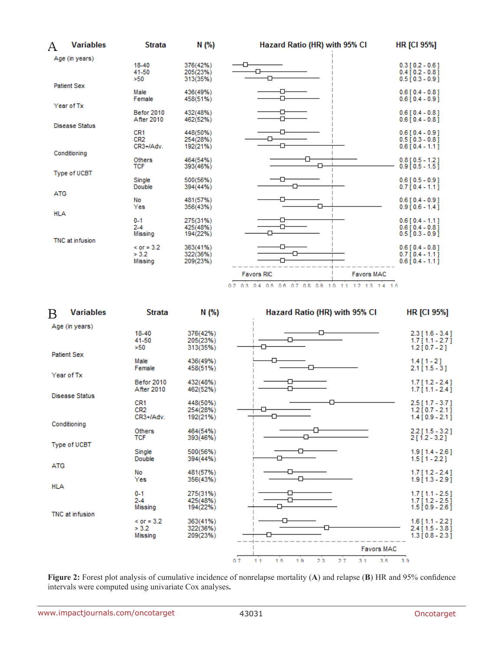| А                        | <b>Variables</b>      | <b>Strata</b>                                   | N (%)                            | Hazard Ratio (HR) with 95% CI          | <b>HR [CI 95%]</b>                                                                 |
|--------------------------|-----------------------|-------------------------------------------------|----------------------------------|----------------------------------------|------------------------------------------------------------------------------------|
|                          | Age (in years)        | 18-40<br>41-50<br>>50                           | 376(42%)<br>205(23%)<br>313(35%) |                                        | $0.3$ [ $0.2 - 0.6$ ]<br>$0.4$ [ 0.2 - 0.8 ]<br>$0.5$ [ $0.3 - 0.9$ ]              |
|                          | <b>Patient Sex</b>    | Male<br>Female                                  | 436(49%)<br>458(51%)             |                                        | $0.6$ [ $0.4 - 0.8$ ]<br>$0.6$ [ $0.4 - 0.9$ ]                                     |
|                          | Year of Tx            | <b>Befor 2010</b><br>After 2010                 | 432(48%)<br>462(52%)             | ⊕<br>∩                                 | $0.6$ [ $0.4 - 0.8$ ]<br>$0.6$ [ $0.4 - 0.8$ ]                                     |
|                          | <b>Disease Status</b> | CR <sub>1</sub><br>CR <sub>2</sub><br>CR3+/Adv. | 448(50%)<br>254(28%)<br>192(21%) |                                        | $0.6$ [ $0.4 - 0.9$ ]<br>$0.5$ [ $0.3 - 0.8$ ]<br>$0.6$ [ $0.4 - 1.1$ ]            |
|                          | Conditioning          | <b>Others</b><br><b>TCF</b>                     | 464(54%)<br>393(46%)             | ⊕                                      | $0.8$ [ $0.5 - 1.2$ ]<br>$0.9$ [ $0.5 - 1.5$ ]                                     |
|                          | <b>Type of UCBT</b>   | Single<br>Double                                | 500(56%)<br>394(44%)             |                                        | $0.6$ [ $0.5 - 0.9$ ]<br>$0.7$ [ $0.4 - 1.1$ ]                                     |
| <b>ATG</b><br><b>HLA</b> |                       | No<br>Yes                                       | 481(57%)<br>356(43%)             |                                        | $0.6$ [ $0.4 - 0.9$ ]<br>$0.9$ [ $0.6 - 1.4$ ]                                     |
|                          |                       | $0 - 1$<br>$2 - 4$<br>Missing                   | 275(31%)<br>425(48%)<br>194(22%) | ∩                                      | $0.6$ [ $0.4 - 1.1$ ]<br>$0.6$ [ $0.4 - 0.8$ ]<br>$0.5$ $\left[ 0.3 - 0.9 \right]$ |
|                          | TNC at infusion       | $50r = 3.2$<br>> 3.2<br>Missing                 | 363(41%)<br>322(36%)<br>209(23%) | ᇚ                                      | $0.6$ [ $0.4 - 0.8$ ]<br>$0.7$ [ $0.4 - 1.1$ ]<br>$0.6$ [ $0.4 - 1.1$ ]            |
|                          |                       |                                                 |                                  | <b>Favors RIC</b><br><b>Favors MAC</b> |                                                                                    |

02 03 04 05 06 07 08 09 10 11 12 13 14 15

| Β          | <b>Variables</b>      | <b>Strata</b>                       | N (%)                            | Hazard Ratio (HR) with 95% CI                    | <b>HR [CI 95%]</b>                                                  |
|------------|-----------------------|-------------------------------------|----------------------------------|--------------------------------------------------|---------------------------------------------------------------------|
|            | Age (in years)        |                                     |                                  |                                                  |                                                                     |
|            |                       | 18-40<br>41-50<br>>50               | 376(42%)<br>205(23%)<br>313(35%) | ∩                                                | $2.3$ [1.6 - 3.4]<br>$1.7$ [ $1.1 - 2.7$ ]<br>$1.2$ [ 0.7 - 2 ]     |
|            | <b>Patient Sex</b>    | Male<br>Female                      | 436(49%)<br>458(51%)             |                                                  | $1.4$ [1 - 2]<br>$2.1$ [1.5 - 3]                                    |
|            | Year of Tx            |                                     |                                  |                                                  |                                                                     |
|            |                       | <b>Befor 2010</b><br>After 2010     | 432(48%)<br>462(52%)             |                                                  | $1.7$ [ $1.2 - 2.4$ ]<br>$1.7$ [ $1.1 - 2.4$ ]                      |
|            | <b>Disease Status</b> |                                     |                                  |                                                  |                                                                     |
|            |                       | CR1<br>CR <sub>2</sub><br>CR3+/Adv. | 448(50%)<br>254(28%)<br>192(21%) |                                                  | $2.5$ [ 1.7 - 3.7 ]<br>$1.2$ [ 0.7 - 2.1 ]<br>$1.4$ [ $0.9 - 2.1$ ] |
|            | Conditioning          |                                     |                                  |                                                  |                                                                     |
|            |                       | Others<br><b>TCF</b>                | 464(54%)<br>393(46%)             |                                                  | $2.2$ [1.5 - 3.2]<br>$2[1.2 - 3.2]$                                 |
|            | <b>Type of UCBT</b>   |                                     |                                  |                                                  |                                                                     |
|            |                       | Single<br>Double                    | 500(56%)<br>394(44%)             |                                                  | $1.9$ [ $1.4 - 2.6$ ]<br>$1.5$ [1 - 2.2]                            |
| <b>ATG</b> |                       | No                                  | 481(57%)                         |                                                  |                                                                     |
|            |                       | Yes                                 | 356(43%)                         |                                                  | $1.7$ [ $1.2 - 2.4$ ]<br>$1.9$ [ $1.3 - 2.9$ ]                      |
| <b>HLA</b> |                       |                                     |                                  |                                                  |                                                                     |
|            |                       | $0 - 1$                             | 275(31%)                         |                                                  | $1.7$ [1.1 - 2.5]                                                   |
|            |                       | $2 - 4$                             | 425(48%)                         |                                                  | $1.7$ [1.2 - 2.5]                                                   |
|            |                       | Missing                             | 194(22%)                         |                                                  | $1.5$ [ 0.9 - 2.6 ]                                                 |
|            | TNC at infusion       | $50r = 3.2$                         | 363(41%)                         |                                                  | $1.6$ [ $1.1 - 2.2$ ]                                               |
|            |                       | > 3.2                               | 322(36%)                         |                                                  | $2.4$ [1.5 - 3.8]                                                   |
|            |                       | Missing                             | 209(23%)                         |                                                  | $1.3$ [ $0.8 - 2.3$ ]                                               |
|            |                       |                                     |                                  | <b>Favors MAC</b>                                |                                                                     |
|            |                       |                                     |                                  | 1.5<br>23<br>27<br>31<br>0.7<br>11<br>1.9<br>3.5 | 39                                                                  |
|            |                       |                                     |                                  |                                                  |                                                                     |

**Figure 2:** Forest plot analysis of cumulative incidence of nonrelapse mortality (**A**) and relapse (**B**) HR and 95% confidence intervals were computed using univariate Cox analyses**.**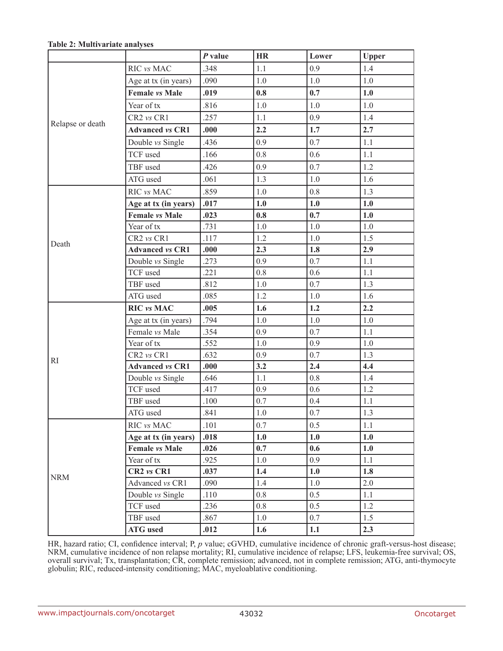## **Table 2: Multivariate analyses**

|                  |                                                  | $P$ value    | <b>HR</b>  | Lower      | <b>Upper</b> |
|------------------|--------------------------------------------------|--------------|------------|------------|--------------|
|                  | RIC vs MAC                                       | .348         | 1.1        | 0.9        | 1.4          |
|                  | Age at tx (in years)                             | .090         | 1.0        | 1.0        | 1.0          |
|                  | <b>Female vs Male</b>                            | .019         | 0.8        | 0.7        | 1.0          |
|                  | Year of tx                                       | .816         | 1.0        | 1.0        | 1.0          |
|                  | CR2 vs CR1                                       | .257         | 1.1        | 0.9        | 1.4          |
| Relapse or death | <b>Advanced vs CR1</b>                           | .000.        | 2.2        | 1.7        | 2.7          |
|                  | Double vs Single                                 | .436         | 0.9        | 0.7        | 1.1          |
|                  | TCF used                                         | .166         | 0.8        | 0.6        | 1.1          |
|                  | TBF used                                         | .426         | 0.9        | 0.7        | 1.2          |
|                  | ATG used                                         | .061         | 1.3        | 1.0        | 1.6          |
|                  | RIC vs MAC                                       | .859         | $1.0\,$    | 0.8        | 1.3          |
|                  | Age at tx (in years)                             | .017         | 1.0        | 1.0        | 1.0          |
|                  | <b>Female vs Male</b>                            | .023         | 0.8        | 0.7        | 1.0          |
|                  | Year of tx                                       | .731         | 1.0        | 1.0        | 1.0          |
| Death            | CR <sub>2</sub> vs CR <sub>1</sub>               | .117         | 1.2        | 1.0        | 1.5          |
|                  | <b>Advanced vs CR1</b>                           | .000         | 2.3        | 1.8        | 2.9          |
|                  | Double vs Single                                 | .273         | 0.9        | 0.7        | 1.1          |
|                  | TCF used                                         | .221         | 0.8        | 0.6        | 1.1          |
|                  | TBF used                                         | .812         | 1.0        | 0.7        | 1.3          |
|                  | ATG used                                         | .085         | 1.2        | 1.0        | 1.6          |
|                  | <b>RIC vs MAC</b>                                | .005         | 1.6        | 1.2        | 2.2          |
|                  | Age at tx (in years)                             | .794         | $1.0\,$    | 1.0        | 1.0          |
|                  | Female vs Male                                   | .354         | 0.9        | 0.7        | 1.1          |
|                  | Year of tx                                       | .552         | 1.0        | 0.9        | 1.0          |
| <b>RI</b>        | CR <sub>2</sub> vs CR <sub>1</sub>               | .632         | 0.9        | 0.7        | 1.3          |
|                  | <b>Advanced vs CR1</b>                           | .000.        | 3.2        | 2.4        | 4.4          |
|                  | Double vs Single                                 | .646         | 1.1        | 0.8        | 1.4          |
|                  | TCF used                                         | .417         | 0.9        | 0.6        | 1.2          |
|                  | TBF used                                         | .100         | 0.7        | 0.4        | 1.1          |
|                  | ATG used                                         | .841         | 1.0        | 0.7        | 1.3          |
|                  | RIC vs MAC                                       | .101         | 0.7        | 0.5        | 1.1          |
|                  | Age at tx (in years)                             | .018         | 1.0        | 1.0        | 1.0          |
|                  | <b>Female vs Male</b>                            | .026         | 0.7        | 0.6        | 1.0          |
|                  | Year of tx<br>CR <sub>2</sub> vs CR <sub>1</sub> | .925         | $1.0\,$    | 0.9        | 1.1          |
| <b>NRM</b>       |                                                  | .037<br>.090 | 1.4        | 1.0        | 1.8          |
|                  | Advanced vs CR1<br>Double vs Single              | .110         | 1.4<br>0.8 | 1.0<br>0.5 | 2.0<br>1.1   |
|                  | TCF used                                         | .236         | 0.8        | 0.5        | 1.2          |
|                  | TBF used                                         | .867         | 1.0        | 0.7        | 1.5          |
|                  | <b>ATG</b> used                                  | .012         | 1.6        | 1.1        | 2.3          |

HR, hazard ratio; CI, confidence interval; P, *p* value; cGVHD, cumulative incidence of chronic graft-versus-host disease; NRM, cumulative incidence of non relapse mortality; RI, cumulative incidence of relapse; LFS, leukemia-free survival; OS, overall survival; Tx, transplantation; CR, complete remission; advanced, not in complete remission; ATG, anti-thymocyte globulin; RIC, reduced-intensity conditioning; MAC, myeloablative conditioning.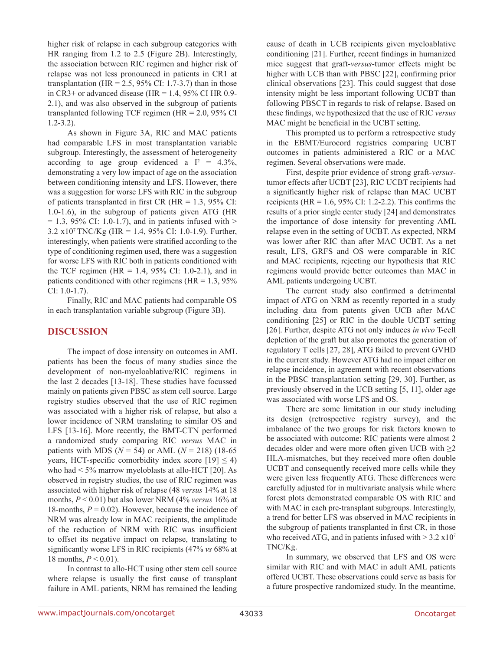higher risk of relapse in each subgroup categories with HR ranging from 1.2 to 2.5 (Figure 2B). Interestingly, the association between RIC regimen and higher risk of relapse was not less pronounced in patients in CR1 at transplantation (HR =  $2.5$ , 95% CI: 1.7-3.7) than in those in CR3+ or advanced disease (HR =  $1.4$ , 95% CI HR 0.9-2.1), and was also observed in the subgroup of patients transplanted following TCF regimen (HR = 2.0, 95% CI 1.2-3.2).

As shown in Figure 3A, RIC and MAC patients had comparable LFS in most transplantation variable subgroup. Interestingly, the assessment of heterogeneity according to age group evidenced a  $I^2 = 4.3\%,$ demonstrating a very low impact of age on the association between conditioning intensity and LFS. However, there was a suggestion for worse LFS with RIC in the subgroup of patients transplanted in first CR ( $HR = 1.3$ , 95% CI: 1.0-1.6), in the subgroup of patients given ATG (HR  $= 1.3$ , 95% CI: 1.0-1.7), and in patients infused with  $>$  $3.2 \times 10^7$  TNC/Kg (HR = 1.4, 95% CI: 1.0-1.9). Further, interestingly, when patients were stratified according to the type of conditioning regimen used, there was a suggestion for worse LFS with RIC both in patients conditioned with the TCF regimen (HR =  $1.4$ , 95% CI: 1.0-2.1), and in patients conditioned with other regimens (HR  $= 1.3$ , 95% CI: 1.0-1.7).

Finally, RIC and MAC patients had comparable OS in each transplantation variable subgroup (Figure 3B).

# **DISCUSSION**

The impact of dose intensity on outcomes in AML patients has been the focus of many studies since the development of non-myeloablative/RIC regimens in the last 2 decades [13-18]. These studies have focussed mainly on patients given PBSC as stem cell source. Large registry studies observed that the use of RIC regimen was associated with a higher risk of relapse, but also a lower incidence of NRM translating to similar OS and LFS [13-16]. More recently, the BMT-CTN performed a randomized study comparing RIC *versus* MAC in patients with MDS ( $N = 54$ ) or AML ( $N = 218$ ) (18-65) years, HCT-specific comorbidity index score  $[19] \leq 4$ ) who had < 5% marrow myeloblasts at allo-HCT [20]. As observed in registry studies, the use of RIC regimen was associated with higher risk of relapse (48 *versus* 14% at 18 months, *P* < 0.01) but also lower NRM (4% *versus* 16% at 18-months, *P* = 0.02). However, because the incidence of NRM was already low in MAC recipients, the amplitude of the reduction of NRM with RIC was insufficient to offset its negative impact on relapse, translating to significantly worse LFS in RIC recipients (47% *vs* 68% at 18 months, *P* < 0.01).

In contrast to allo-HCT using other stem cell source where relapse is usually the first cause of transplant failure in AML patients, NRM has remained the leading cause of death in UCB recipients given myeloablative conditioning [21]. Further, recent findings in humanized mice suggest that graft-*versus*-tumor effects might be higher with UCB than with PBSC [22], confirming prior clinical observations [23]. This could suggest that dose intensity might be less important following UCBT than following PBSCT in regards to risk of relapse. Based on these findings, we hypothesized that the use of RIC *versus* MAC might be beneficial in the UCBT setting.

This prompted us to perform a retrospective study in the EBMT/Eurocord registries comparing UCBT outcomes in patients administered a RIC or a MAC regimen. Several observations were made.

First, despite prior evidence of strong graft-*versus*tumor effects after UCBT [23], RIC UCBT recipients had a significantly higher risk of relapse than MAC UCBT recipients (HR =  $1.6$ , 95% CI: 1.2-2.2). This confirms the results of a prior single center study [24] and demonstrates the importance of dose intensity for preventing AML relapse even in the setting of UCBT. As expected, NRM was lower after RIC than after MAC UCBT. As a net result, LFS, GRFS and OS were comparable in RIC and MAC recipients, rejecting our hypothesis that RIC regimens would provide better outcomes than MAC in AML patients undergoing UCBT.

The current study also confirmed a detrimental impact of ATG on NRM as recently reported in a study including data from patents given UCB after MAC conditioning [25] or RIC in the double UCBT setting [26]. Further, despite ATG not only induces *in vivo* T-cell depletion of the graft but also promotes the generation of regulatory T cells [27, 28], ATG failed to prevent GVHD in the current study. However ATG had no impact either on relapse incidence, in agreement with recent observations in the PBSC transplantation setting [29, 30]. Further, as previously observed in the UCB setting [5, 11], older age was associated with worse LFS and OS.

There are some limitation in our study including its design (retrospective registry survey), and the imbalance of the two groups for risk factors known to be associated with outcome: RIC patients were almost 2 decades older and were more often given UCB with  $\geq 2$ HLA-mismatches, but they received more often double UCBT and consequently received more cells while they were given less frequently ATG. These differences were carefully adjusted for in multivariate analysis while where forest plots demonstrated comparable OS with RIC and with MAC in each pre-transplant subgroups. Interestingly, a trend for better LFS was observed in MAC recipients in the subgroup of patients transplanted in first CR, in those who received ATG, and in patients infused with  $> 3.2 \times 10^7$ TNC/Kg.

In summary, we observed that LFS and OS were similar with RIC and with MAC in adult AML patients offered UCBT. These observations could serve as basis for a future prospective randomized study. In the meantime,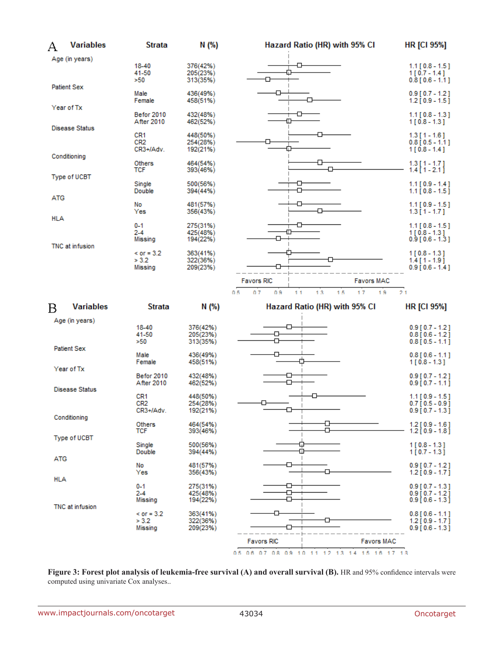| А          | <b>Variables</b>      | <b>Strata</b>                       | N (%)                                        | Hazard Ratio (HR) with 95% CI                                                       | <b>HR [CI 95%]</b>                                                                                                  |
|------------|-----------------------|-------------------------------------|----------------------------------------------|-------------------------------------------------------------------------------------|---------------------------------------------------------------------------------------------------------------------|
|            | Age (in years)        |                                     |                                              |                                                                                     |                                                                                                                     |
|            |                       | 18-40<br>41-50<br>>50               | 376(42%)<br>205(23%)<br>313(35%)             | о                                                                                   | $1.1$ [ 0.8 - 1.5 ]<br>$1$ [ 0.7 - 1.4 ]<br>$0.8$ [ $0.6 - 1.1$ ]                                                   |
|            | <b>Patient Sex</b>    | Male<br>Female                      | 436(49%)<br>458(51%)                         | п                                                                                   | $0.9$ [ $0.7 - 1.2$ ]<br>$1.2$ [ 0.9 - 1.5 ]                                                                        |
|            | Year of Tx            | <b>Befor 2010</b><br>After 2010     | 432(48%)<br>462(52%)                         | ⊕                                                                                   | $1.1$ [ 0.8 - 1.3 ]<br>$1[0.8 - 1.3]$                                                                               |
|            | <b>Disease Status</b> | CR1<br>CR <sub>2</sub><br>CR3+/Adv. | 448(50%)<br>254(28%)<br>192(21%)             | ⊓                                                                                   | $1.3$ [1 - 1.6 ]<br>$0.8$ [ $0.5 - 1.1$ ]<br>$1$ [ 0.8 - 1.4 ]                                                      |
|            | Conditioning          | Others<br>TCF                       | 464(54%)<br>393(46%)                         |                                                                                     | $1.3$ [1 - 1.7]<br>$1.4$ [1 - 2.1]                                                                                  |
|            | Type of UCBT          | Single<br>Double                    | 500(56%)<br>394(44%)                         | Ð<br>O                                                                              | $1.1$ [ 0.9 - 1.4 ]<br>$1.1$ [ 0.8 - 1.5 ]                                                                          |
| ATG        |                       | No<br>Yes                           | 481(57%)<br>356(43%)                         | ⊓<br>ᇚ                                                                              | $1.1$ [ 0.9 - 1.5 ]<br>$1.3$ [1 - 1.7]                                                                              |
| <b>HLA</b> |                       | $0 - 1$<br>$2-4$                    | 275(31%)<br>425(48%)                         | ╖                                                                                   | $1.1$ [ 0.8 - 1.5 ]<br>$1[0.8 - 1.3]$                                                                               |
|            | TNC at infusion       | <b>Missing</b><br>$50r = 3.2$       | 194(22%)<br>363(41%)                         |                                                                                     | $0.9$ [ $0.6 - 1.3$ ]<br>$1[0.8 - 1.3]$                                                                             |
|            |                       | > 3.2<br>Missing                    | 322(36%)<br>209(23%)                         |                                                                                     | $1.4$ [ 1 - 1.9 ]<br>$0.9$ [ $0.6 - 1.4$ ]                                                                          |
|            |                       |                                     |                                              | Favors RIC<br><b>Favors MAC</b><br>17<br>0.5<br>07<br>0.9<br>11<br>13<br>1.5<br>1.9 | 21                                                                                                                  |
|            |                       |                                     |                                              |                                                                                     |                                                                                                                     |
| В          | <b>Variables</b>      | <b>Strata</b>                       | N (%)                                        | Hazard Ratio (HR) with 95% CI                                                       | <b>HR [CI 95%]</b>                                                                                                  |
|            | Age (in years)        |                                     |                                              |                                                                                     |                                                                                                                     |
|            |                       | 18-40<br>41-50<br>>50               | 376(42%)<br>205(23%)<br>313(35%)             | ∩<br>⊕<br>Ð                                                                         | $0.9$ [ 0.7 - 1.2 ]<br>$0.8$ [ $0.6 - 1.2$ ]<br>$0.8$ [ $0.5 - 1.1$ ]                                               |
|            | <b>Patient Sex</b>    | Male<br>Female                      | 436(49%)<br>458(51%)                         | ⊕                                                                                   | $0.8$ [ $0.6 - 1.1$ ]<br>$1[0.8 - 1.3]$                                                                             |
|            | Year of Tx            | <b>Befor 2010</b><br>After 2010     | 432(48%)<br>462(52%)                         | o<br>▫                                                                              | $0.9$ [ $0.7 - 1.2$ ]<br>$0.9$ [ $0.7 - 1.1$ ]                                                                      |
|            | <b>Disease Status</b> | CR <sub>1</sub><br>CR <sub>2</sub>  | 448(50%)<br>254(28%)                         | ◻                                                                                   | $1.1$ [ 0.9 - 1.5 ]<br>$0.7$ [ $0.5 - 0.9$ ]                                                                        |
|            | Conditioning          | CR3+/Adv.<br><b>Others</b>          | 192(21%)<br>464(54%)                         |                                                                                     | $1.2$ [ 0.9 - 1.6 ]                                                                                                 |
|            | Type of UCBT          | TCF<br>Single                       | 393(46%)<br>500(56%)                         | ⊕                                                                                   | $1.2$ [ 0.9 - 1.8 ]<br>$1$ [ 0.8 - 1.3 ]                                                                            |
| ATG        |                       | Double<br>No                        | 394(44%)<br>481(57%)                         | ╓<br>▫                                                                              | $1[0.7 - 1.3]$<br>$0.9$ [ $0.7 - 1.2$ ]                                                                             |
| <b>HLA</b> |                       | Yes<br>$0 - 1$<br>$2-4$<br>Missing  | 356(43%)<br>275(31%)<br>425(48%)             | ▫<br>Ð<br>▫                                                                         | $1.2$ [ 0.9 - 1.7 ]<br>$0.9$ [ $0.7 - 1.3$ ]<br>$0.9$ [ $0.7 - 1.2$ ]                                               |
|            | TNC at infusion       | $50r = 3.2$<br>> 3.2<br>Missing     | 194(22%)<br>363(41%)<br>322(36%)<br>209(23%) | ▫                                                                                   | $0.9$ [ 0.7 - 1.3 ]<br>$0.9$ [ $0.6 - 1.3$ ]<br>$0.8$ [ 0.6 - 1.1 ]<br>$1.2$ [ 0.9 - 1.7 ]<br>$0.9$ [ $0.6 - 1.3$ ] |
|            |                       |                                     |                                              | <b>Favors RIC</b><br><b>Favors MAC</b>                                              |                                                                                                                     |

Figure 3: Forest plot analysis of leukemia-free survival (A) and overall survival (B). HR and 95% confidence intervals were computed using univariate Cox analyses..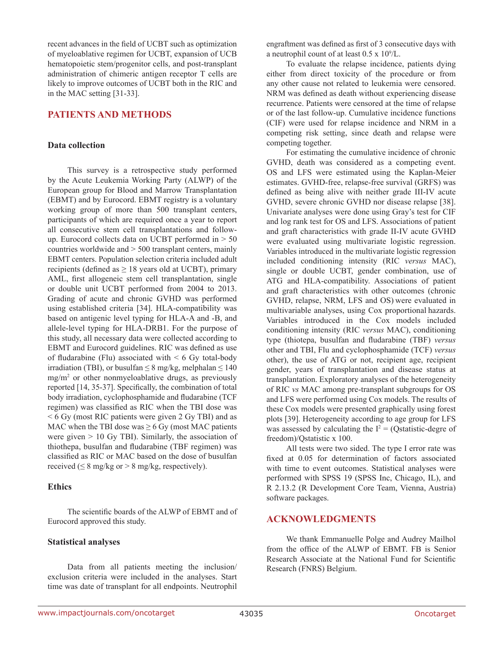recent advances in the field of UCBT such as optimization of myeloablative regimen for UCBT, expansion of UCB hematopoietic stem/progenitor cells, and post-transplant administration of chimeric antigen receptor T cells are likely to improve outcomes of UCBT both in the RIC and in the MAC setting [31-33].

## **PATIENTS AND METHODS**

#### **Data collection**

This survey is a retrospective study performed by the Acute Leukemia Working Party (ALWP) of the European group for Blood and Marrow Transplantation (EBMT) and by Eurocord. EBMT registry is a voluntary working group of more than 500 transplant centers, participants of which are required once a year to report all consecutive stem cell transplantations and followup. Eurocord collects data on UCBT performed in > 50 countries worldwide and > 500 transplant centers, mainly EBMT centers. Population selection criteria included adult recipients (defined as  $\geq$  18 years old at UCBT), primary AML, first allogeneic stem cell transplantation, single or double unit UCBT performed from 2004 to 2013. Grading of acute and chronic GVHD was performed using established criteria [34]. HLA-compatibility was based on antigenic level typing for HLA-A and -B, and allele-level typing for HLA-DRB1. For the purpose of this study, all necessary data were collected according to EBMT and Eurocord guidelines. RIC was defined as use of fludarabine (Flu) associated with  $\leq 6$  Gy total-body irradiation (TBI), or busulfan  $\leq 8$  mg/kg, melphalan  $\leq 140$ mg/m2 or other nonmyeloablative drugs, as previously reported [14, 35-37]. Specifically, the combination of total body irradiation, cyclophosphamide and fludarabine (TCF regimen) was classified as RIC when the TBI dose was < 6 Gy (most RIC patients were given 2 Gy TBI) and as MAC when the TBI dose was  $\geq 6$  Gy (most MAC patients were given > 10 Gy TBI). Similarly, the association of thiothepa, busulfan and fludarabine (TBF regimen) was classified as RIC or MAC based on the dose of busulfan received ( $\leq 8$  mg/kg or  $> 8$  mg/kg, respectively).

## **Ethics**

The scientific boards of the ALWP of EBMT and of Eurocord approved this study.

## **Statistical analyses**

Data from all patients meeting the inclusion/ exclusion criteria were included in the analyses. Start time was date of transplant for all endpoints. Neutrophil engraftment was defined as first of 3 consecutive days with a neutrophil count of at least  $0.5 \times 10^9$ /L.

To evaluate the relapse incidence, patients dying either from direct toxicity of the procedure or from any other cause not related to leukemia were censored. NRM was defined as death without experiencing disease recurrence. Patients were censored at the time of relapse or of the last follow-up. Cumulative incidence functions (CIF) were used for relapse incidence and NRM in a competing risk setting, since death and relapse were competing together.

For estimating the cumulative incidence of chronic GVHD, death was considered as a competing event. OS and LFS were estimated using the Kaplan-Meier estimates. GVHD-free, relapse-free survival (GRFS) was defined as being alive with neither grade III-IV acute GVHD, severe chronic GVHD nor disease relapse [38]. Univariate analyses were done using Gray's test for CIF and log rank test for OS and LFS. Associations of patient and graft characteristics with grade II-IV acute GVHD were evaluated using multivariate logistic regression. Variables introduced in the multivariate logistic regression included conditioning intensity (RIC *versus* MAC), single or double UCBT, gender combination, use of ATG and HLA-compatibility. Associations of patient and graft characteristics with other outcomes (chronic GVHD, relapse, NRM, LFS and OS) were evaluated in multivariable analyses, using Cox proportional hazards. Variables introduced in the Cox models included conditioning intensity (RIC *versus* MAC), conditioning type (thiotepa, busulfan and fludarabine (TBF) *versus* other and TBI, Flu and cyclophosphamide (TCF) *versus* other), the use of ATG or not, recipient age, recipient gender, years of transplantation and disease status at transplantation. Exploratory analyses of the heterogeneity of RIC *vs* MAC among pre-transplant subgroups for OS and LFS were performed using Cox models. The results of these Cox models were presented graphically using forest plots [39]. Heterogeneity according to age group for LFS was assessed by calculating the  $I^2 = (Qstatistic-degree of$ freedom)/Qstatistic x 100.

All tests were two sided. The type I error rate was fixed at 0.05 for determination of factors associated with time to event outcomes. Statistical analyses were performed with SPSS 19 (SPSS Inc, Chicago, IL), and R 2.13.2 (R Development Core Team, Vienna, Austria) software packages.

# **ACKNOWLEDGMENTS**

We thank Emmanuelle Polge and Audrey Mailhol from the office of the ALWP of EBMT. FB is Senior Research Associate at the National Fund for Scientific Research (FNRS) Belgium.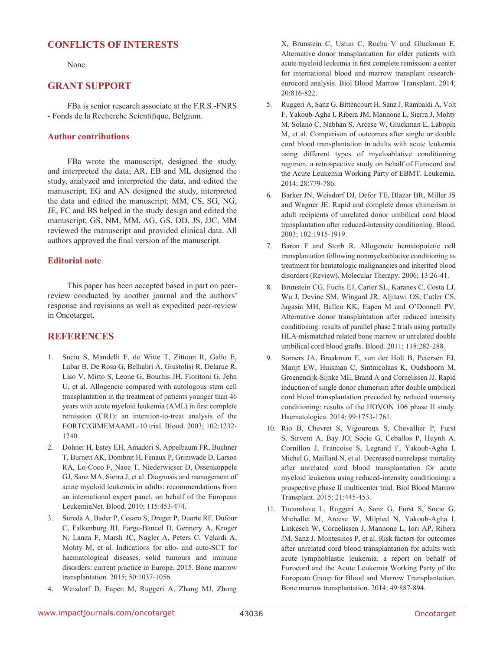## **CONFLICTS OF INTERESTS**

None.

# **GRANT SUPPORT**

FBa is senior research associate at the F.R.S.-FNRS - Fonds de la Recherche Scientifique, Belgium.

#### **Author contributions**

FBa wrote the manuscript, designed the study, and interpreted the data; AR, EB and ML designed the study, analyzed and interpreted the data, and edited the manuscript; EG and AN designed the study, interpreted the data and edited the manuscript; MM, CS, SG, NG, JE, FC and BS helped in the study design and edited the manuscript; GS, NM, MM, AG, GS, DD, JS, JJC, MM reviewed the manuscript and provided clinical data. All authors approved the final version of the manuscript.

#### **Editorial note**

This paper has been accepted based in part on peerreview conducted by another journal and the authors' response and revisions as well as expedited peer-review in Oncotarget.

## **REFERENCES**

- 1. Suciu S, Mandelli F, de Witte T, Zittoun R, Gallo E, Labar B, De Rosa G, Belhabri A, Giustolisi R, Delarue R, Liso V, Mirto S, Leone G, Bourhis JH, Fioritoni G, Jehn U, et al. Allogeneic compared with autologous stem cell transplantation in the treatment of patients younger than 46 years with acute myeloid leukemia (AML) in first complete remission (CR1): an intention-to-treat analysis of the EORTC/GIMEMAAML-10 trial. Blood. 2003; 102:1232- 1240.
- 2. Dohner H, Estey EH, Amadori S, Appelbaum FR, Buchner T, Burnett AK, Dombret H, Fenaux P, Grimwade D, Larson RA, Lo-Coco F, Naoe T, Niederwieser D, Ossenkoppele GJ, Sanz MA, Sierra J, et al. Diagnosis and management of acute myeloid leukemia in adults: recommendations from an international expert panel, on behalf of the European LeukemiaNet. Blood. 2010; 115:453-474.
- 3. Sureda A, Bader P, Cesaro S, Dreger P, Duarte RF, Dufour C, Falkenburg JH, Farge-Bancel D, Gennery A, Kroger N, Lanza F, Marsh JC, Nagler A, Peters C, Velardi A, Mohty M, et al. Indications for allo- and auto-SCT for haematological diseases, solid tumours and immune disorders: current practice in Europe, 2015. Bone marrow transplantation. 2015; 50:1037-1056.
- 4. Weisdorf D, Eapen M, Ruggeri A, Zhang MJ, Zhong

X, Brunstein C, Ustun C, Rocha V and Gluckman E. Alternative donor transplantation for older patients with acute myeloid leukemia in first complete remission: a center for international blood and marrow transplant researcheurocord analysis. Biol Blood Marrow Transplant. 2014; 20:816-822.

- 5. Ruggeri A, Sanz G, Bittencourt H, Sanz J, Rambaldi A, Volt F, Yakoub-Agha I, Ribera JM, Mannone L, Sierra J, Mohty M, Solano C, Nabhan S, Arcese W, Gluckman E, Labopin M, et al. Comparison of outcomes after single or double cord blood transplantation in adults with acute leukemia using different types of myeloablative conditioning regimen, a retrospective study on behalf of Eurocord and the Acute Leukemia Working Party of EBMT. Leukemia. 2014; 28:779-786.
- 6. Barker JN, Weisdorf DJ, Defor TE, Blazar BR, Miller JS and Wagner JE. Rapid and complete donor chimerism in adult recipients of unrelated donor umbilical cord blood transplantation after reduced-intensity conditioning. Blood. 2003; 102:1915-1919.
- 7. Baron F and Storb R. Allogeneic hematopoietic cell transplantation following nonmyeloablative conditioning as treatment for hematologic malignancies and inherited blood disorders (Review). Molecular Therapy. 2006; 13:26-41.
- 8. Brunstein CG, Fuchs EJ, Carter SL, Karanes C, Costa LJ, Wu J, Devine SM, Wingard JR, Aljitawi OS, Cutler CS, Jagasia MH, Ballen KK, Eapen M and O'Donnell PV. Alternative donor transplantation after reduced intensity conditioning: results of parallel phase 2 trials using partially HLA-mismatched related bone marrow or unrelated double umbilical cord blood grafts. Blood. 2011; 118:282-288.
- 9. Somers JA, Braakman E, van der Holt B, Petersen EJ, Marijt EW, Huisman C, Sintnicolaas K, Oudshoorn M, Groenendijk-Sijnke ME, Brand A and Cornelissen JJ. Rapid induction of single donor chimerism after double umbilical cord blood transplantation preceded by reduced intensity conditioning: results of the HOVON 106 phase II study. Haematologica. 2014; 99:1753-1761.
- 10. Rio B, Chevret S, Vigouroux S, Chevallier P, Furst S, Sirvent A, Bay JO, Socie G, Ceballos P, Huynh A, Cornillon J, Francoise S, Legrand F, Yakoub-Agha I, Michel G, Maillard N, et al. Decreased nonrelapse mortality after unrelated cord blood transplantation for acute myeloid leukemia using reduced-intensity conditioning: a prospective phase II multicenter trial. Biol Blood Marrow Transplant. 2015; 21:445-453.
- 11. Tucunduva L, Ruggeri A, Sanz G, Furst S, Socie G, Michallet M, Arcese W, Milpied N, Yakoub-Agha I, Linkesch W, Cornelissen J, Mannone L, Iori AP, Ribera JM, Sanz J, Montesinos P, et al. Risk factors for outcomes after unrelated cord blood transplantation for adults with acute lymphoblastic leukemia: a report on behalf of Eurocord and the Acute Leukemia Working Party of the European Group for Blood and Marrow Transplantation. Bone marrow transplantation. 2014; 49:887-894.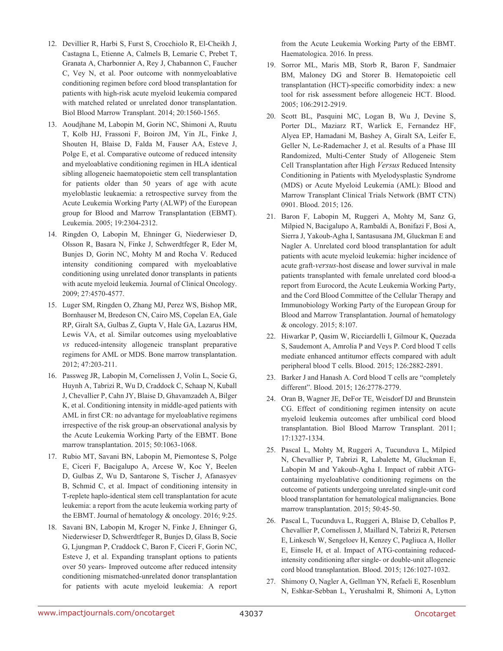- 12. Devillier R, Harbi S, Furst S, Crocchiolo R, El-Cheikh J, Castagna L, Etienne A, Calmels B, Lemarie C, Prebet T, Granata A, Charbonnier A, Rey J, Chabannon C, Faucher C, Vey N, et al. Poor outcome with nonmyeloablative conditioning regimen before cord blood transplantation for patients with high-risk acute myeloid leukemia compared with matched related or unrelated donor transplantation. Biol Blood Marrow Transplant. 2014; 20:1560-1565.
- 13. Aoudjhane M, Labopin M, Gorin NC, Shimoni A, Ruutu T, Kolb HJ, Frassoni F, Boiron JM, Yin JL, Finke J, Shouten H, Blaise D, Falda M, Fauser AA, Esteve J, Polge E, et al. Comparative outcome of reduced intensity and myeloablative conditioning regimen in HLA identical sibling allogeneic haematopoietic stem cell transplantation for patients older than 50 years of age with acute myeloblastic leukaemia: a retrospective survey from the Acute Leukemia Working Party (ALWP) of the European group for Blood and Marrow Transplantation (EBMT). Leukemia. 2005; 19:2304-2312.
- 14. Ringden O, Labopin M, Ehninger G, Niederwieser D, Olsson R, Basara N, Finke J, Schwerdtfeger R, Eder M, Bunjes D, Gorin NC, Mohty M and Rocha V. Reduced intensity conditioning compared with myeloablative conditioning using unrelated donor transplants in patients with acute myeloid leukemia. Journal of Clinical Oncology. 2009; 27:4570-4577.
- 15. Luger SM, Ringden O, Zhang MJ, Perez WS, Bishop MR, Bornhauser M, Bredeson CN, Cairo MS, Copelan EA, Gale RP, Giralt SA, Gulbas Z, Gupta V, Hale GA, Lazarus HM, Lewis VA, et al. Similar outcomes using myeloablative *vs* reduced-intensity allogeneic transplant preparative regimens for AML or MDS. Bone marrow transplantation. 2012; 47:203-211.
- 16. Passweg JR, Labopin M, Cornelissen J, Volin L, Socie G, Huynh A, Tabrizi R, Wu D, Craddock C, Schaap N, Kuball J, Chevallier P, Cahn JY, Blaise D, Ghavamzadeh A, Bilger K, et al. Conditioning intensity in middle-aged patients with AML in first CR: no advantage for myeloablative regimens irrespective of the risk group-an observational analysis by the Acute Leukemia Working Party of the EBMT. Bone marrow transplantation. 2015; 50:1063-1068.
- 17. Rubio MT, Savani BN, Labopin M, Piemontese S, Polge E, Ciceri F, Bacigalupo A, Arcese W, Koc Y, Beelen D, Gulbas Z, Wu D, Santarone S, Tischer J, Afanasyev B, Schmid C, et al. Impact of conditioning intensity in T-replete haplo-identical stem cell transplantation for acute leukemia: a report from the acute leukemia working party of the EBMT. Journal of hematology & oncology. 2016; 9:25.
- 18. Savani BN, Labopin M, Kroger N, Finke J, Ehninger G, Niederwieser D, Schwerdtfeger R, Bunjes D, Glass B, Socie G, Ljungman P, Craddock C, Baron F, Ciceri F, Gorin NC, Esteve J, et al. Expanding transplant options to patients over 50 years- Improved outcome after reduced intensity conditioning mismatched-unrelated donor transplantation for patients with acute myeloid leukemia: A report

from the Acute Leukemia Working Party of the EBMT. Haematologica. 2016. In press.

- 19. Sorror ML, Maris MB, Storb R, Baron F, Sandmaier BM, Maloney DG and Storer B. Hematopoietic cell transplantation (HCT)-specific comorbidity index: a new tool for risk assessment before allogeneic HCT. Blood. 2005; 106:2912-2919.
- 20. Scott BL, Pasquini MC, Logan B, Wu J, Devine S, Porter DL, Maziarz RT, Warlick E, Fernandez HF, Alyea EP, Hamadani M, Bashey A, Giralt SA, Leifer E, Geller N, Le-Rademacher J, et al. Results of a Phase III Randomized, Multi-Center Study of Allogeneic Stem Cell Transplantation after High *Versus* Reduced Intensity Conditioning in Patients with Myelodysplastic Syndrome (MDS) or Acute Myeloid Leukemia (AML): Blood and Marrow Transplant Clinical Trials Network (BMT CTN) 0901. Blood. 2015; 126.
- 21. Baron F, Labopin M, Ruggeri A, Mohty M, Sanz G, Milpied N, Bacigalupo A, Rambaldi A, Bonifazi F, Bosi A, Sierra J, Yakoub-Agha I, Santasusana JM, Gluckman E and Nagler A. Unrelated cord blood transplantation for adult patients with acute myeloid leukemia: higher incidence of acute graft-*versus*-host disease and lower survival in male patients transplanted with female unrelated cord blood-a report from Eurocord, the Acute Leukemia Working Party, and the Cord Blood Committee of the Cellular Therapy and Immunobiology Working Party of the European Group for Blood and Marrow Transplantation. Journal of hematology & oncology. 2015; 8:107.
- 22. Hiwarkar P, Qasim W, Ricciardelli I, Gilmour K, Quezada S, Saudemont A, Amrolia P and Veys P. Cord blood T cells mediate enhanced antitumor effects compared with adult peripheral blood T cells. Blood. 2015; 126:2882-2891.
- 23. Barker J and Hanash A. Cord blood T cells are "completely different". Blood. 2015; 126:2778-2779.
- 24. Oran B, Wagner JE, DeFor TE, Weisdorf DJ and Brunstein CG. Effect of conditioning regimen intensity on acute myeloid leukemia outcomes after umbilical cord blood transplantation. Biol Blood Marrow Transplant. 2011; 17:1327-1334.
- 25. Pascal L, Mohty M, Ruggeri A, Tucunduva L, Milpied N, Chevallier P, Tabrizi R, Labalette M, Gluckman E, Labopin M and Yakoub-Agha I. Impact of rabbit ATGcontaining myeloablative conditioning regimens on the outcome of patients undergoing unrelated single-unit cord blood transplantation for hematological malignancies. Bone marrow transplantation. 2015; 50:45-50.
- 26. Pascal L, Tucunduva L, Ruggeri A, Blaise D, Ceballos P, Chevallier P, Cornelissen J, Maillard N, Tabrizi R, Petersen E, Linkesch W, Sengeloev H, Kenzey C, Pagliuca A, Holler E, Einsele H, et al. Impact of ATG-containing reducedintensity conditioning after single- or double-unit allogeneic cord blood transplantation. Blood. 2015; 126:1027-1032.
- 27. Shimony O, Nagler A, Gellman YN, Refaeli E, Rosenblum N, Eshkar-Sebban L, Yerushalmi R, Shimoni A, Lytton